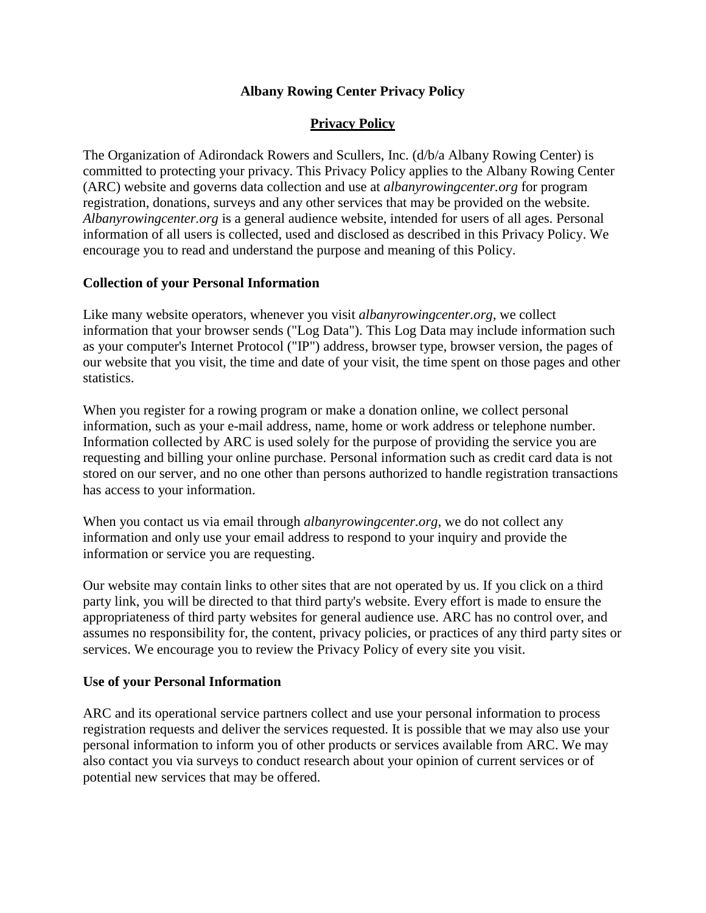# **Albany Rowing Center Privacy Policy**

## **Privacy Policy**

The Organization of Adirondack Rowers and Scullers, Inc. (d/b/a Albany Rowing Center) is committed to protecting your privacy. This Privacy Policy applies to the Albany Rowing Center (ARC) website and governs data collection and use at *albanyrowingcenter.org* for program registration, donations, surveys and any other services that may be provided on the website. *Albanyrowingcenter.org* is a general audience website, intended for users of all ages. Personal information of all users is collected, used and disclosed as described in this Privacy Policy. We encourage you to read and understand the purpose and meaning of this Policy.

#### **Collection of your Personal Information**

Like many website operators, whenever you visit *albanyrowingcenter.org*, we collect information that your browser sends ("Log Data"). This Log Data may include information such as your computer's Internet Protocol ("IP") address, browser type, browser version, the pages of our website that you visit, the time and date of your visit, the time spent on those pages and other statistics.

When you register for a rowing program or make a donation online, we collect personal information, such as your e-mail address, name, home or work address or telephone number. Information collected by ARC is used solely for the purpose of providing the service you are requesting and billing your online purchase. Personal information such as credit card data is not stored on our server, and no one other than persons authorized to handle registration transactions has access to your information.

When you contact us via email through *albanyrowingcenter.org*, we do not collect any information and only use your email address to respond to your inquiry and provide the information or service you are requesting.

Our website may contain links to other sites that are not operated by us. If you click on a third party link, you will be directed to that third party's website. Every effort is made to ensure the appropriateness of third party websites for general audience use. ARC has no control over, and assumes no responsibility for, the content, privacy policies, or practices of any third party sites or services. We encourage you to review the Privacy Policy of every site you visit.

#### **Use of your Personal Information**

ARC and its operational service partners collect and use your personal information to process registration requests and deliver the services requested. It is possible that we may also use your personal information to inform you of other products or services available from ARC. We may also contact you via surveys to conduct research about your opinion of current services or of potential new services that may be offered.